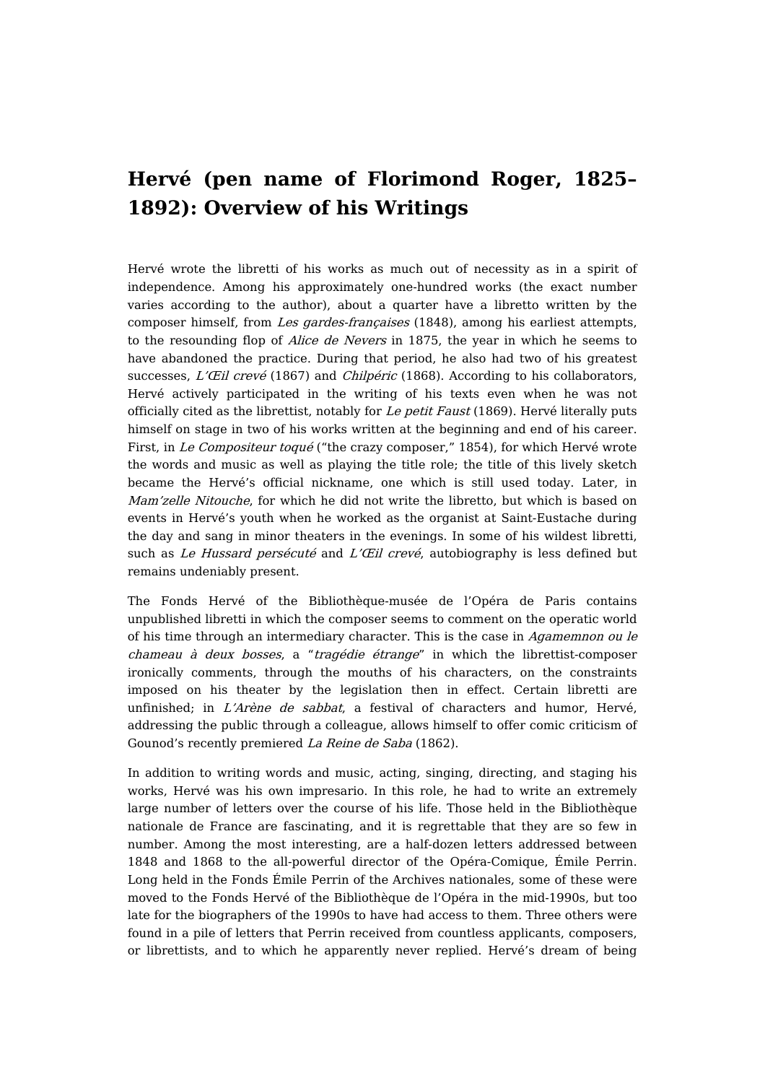## **Hervé (pen name of Florimond Roger, 1825– 1892): Overview of his Writings**

Hervé wrote the libretti of his works as much out of necessity as in a spirit of independence. Among his approximately one-hundred works (the exact number varies according to the author), about a quarter have a libretto written by the composer himself, from Les gardes-françaises (1848), among his earliest attempts, to the resounding flop of Alice de Nevers in 1875, the year in which he seems to have abandoned the practice. During that period, he also had two of his greatest successes, L'Œil crevé (1867) and Chilpéric (1868). According to his collaborators, Hervé actively participated in the writing of his texts even when he was not officially cited as the librettist, notably for Le petit Faust (1869). Hervé literally puts himself on stage in two of his works written at the beginning and end of his career. First, in Le Compositeur toqué ("the crazy composer," 1854), for which Hervé wrote the words and music as well as playing the title role; the title of this lively sketch became the Hervé's official nickname, one which is still used today. Later, in Mam'zelle Nitouche, for which he did not write the libretto, but which is based on events in Hervé's youth when he worked as the organist at Saint-Eustache during the day and sang in minor theaters in the evenings. In some of his wildest libretti, such as Le Hussard persécuté and L'Œil crevé, autobiography is less defined but remains undeniably present.

The Fonds Hervé of the Bibliothèque-musée de l'Opéra de Paris contains unpublished libretti in which the composer seems to comment on the operatic world of his time through an intermediary character. This is the case in Agamemnon ou le chameau à deux bosses, a "tragédie étrange" in which the librettist-composer ironically comments, through the mouths of his characters, on the constraints imposed on his theater by the legislation then in effect. Certain libretti are unfinished; in L'Arène de sabbat, a festival of characters and humor, Hervé, addressing the public through a colleague, allows himself to offer comic criticism of Gounod's recently premiered La Reine de Saba (1862).

In addition to writing words and music, acting, singing, directing, and staging his works, Hervé was his own impresario. In this role, he had to write an extremely large number of letters over the course of his life. Those held in the Bibliothèque nationale de France are fascinating, and it is regrettable that they are so few in number. Among the most interesting, are a half-dozen letters addressed between 1848 and 1868 to the all-powerful director of the Opéra-Comique, Émile Perrin. Long held in the Fonds Émile Perrin of the Archives nationales, some of these were moved to the Fonds Hervé of the Bibliothèque de l'Opéra in the mid-1990s, but too late for the biographers of the 1990s to have had access to them. Three others were found in a pile of letters that Perrin received from countless applicants, composers, or librettists, and to which he apparently never replied. Hervé's dream of being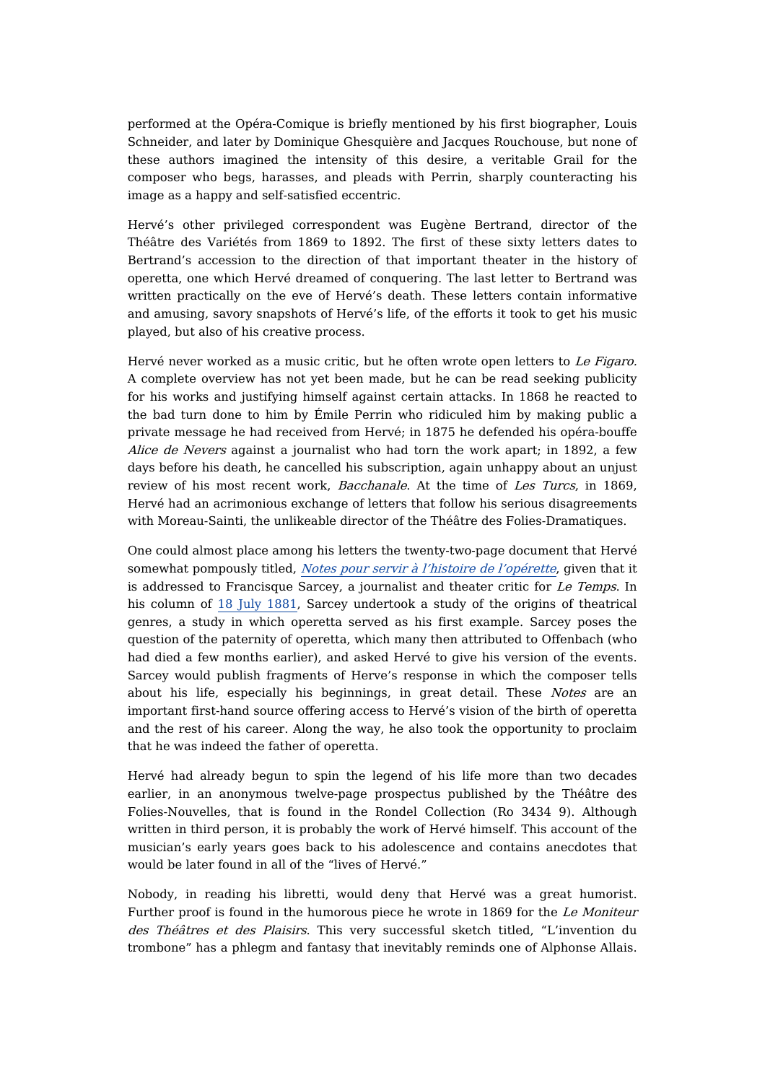performed at the Opéra-Comique is briefly mentioned by his first biographer, Louis Schneider, and later by Dominique Ghesquière and Jacques Rouchouse, but none of these authors imagined the intensity of this desire, a veritable Grail for the composer who begs, harasses, and pleads with Perrin, sharply counteracting his image as a happy and self-satisfied eccentric.

Hervé's other privileged correspondent was Eugène Bertrand, director of the Théâtre des Variétés from 1869 to 1892. The first of these sixty letters dates to Bertrand's accession to the direction of that important theater in the history of operetta, one which Hervé dreamed of conquering. The last letter to Bertrand was written practically on the eve of Hervé's death. These letters contain informative and amusing, savory snapshots of Hervé's life, of the efforts it took to get his music played, but also of his creative process.

Hervé never worked as a music critic, but he often wrote open letters to Le Figaro. A complete overview has not yet been made, but he can be read seeking publicity for his works and justifying himself against certain attacks. In 1868 he reacted to the bad turn done to him by Émile Perrin who ridiculed him by making public a private message he had received from Hervé; in 1875 he defended his opéra-bouffe Alice de Nevers against a journalist who had torn the work apart; in 1892, a few days before his death, he cancelled his subscription, again unhappy about an unjust review of his most recent work, Bacchanale. At the time of Les Turcs, in 1869, Hervé had an acrimonious exchange of letters that follow his serious disagreements with Moreau-Sainti, the unlikeable director of the Théâtre des Folies-Dramatiques.

One could almost place among his letters the twenty-two-page document that Hervé somewhat pompously titled, Notes pour servir à l'histoire de [l'opérette](https://dicteco.huma-num.fr/fr/document/51642), given that it is addressed to Francisque Sarcey, a journalist and theater critic for Le Temps. In his column of 18 July [1881](https://gallica.bnf.fr/ark:/12148/bpt6k228442f/f2.item.zoom), Sarcey undertook a study of the origins of theatrical genres, a study in which operetta served as his first example. Sarcey poses the question of the paternity of operetta, which many then attributed to Offenbach (who had died a few months earlier), and asked Hervé to give his version of the events. Sarcey would publish fragments of Herve's response in which the composer tells about his life, especially his beginnings, in great detail. These Notes are an important first-hand source offering access to Hervé's vision of the birth of operetta and the rest of his career. Along the way, he also took the opportunity to proclaim that he was indeed the father of operetta.

Hervé had already begun to spin the legend of his life more than two decades earlier, in an anonymous twelve-page prospectus published by the Théâtre des Folies-Nouvelles, that is found in the Rondel Collection (Ro 3434 9). Although written in third person, it is probably the work of Hervé himself. This account of the musician's early years goes back to his adolescence and contains anecdotes that would be later found in all of the "lives of Hervé."

Nobody, in reading his libretti, would deny that Hervé was a great humorist. Further proof is found in the humorous piece he wrote in 1869 for the Le Moniteur des Théâtres et des Plaisirs. This very successful sketch titled, "L'invention du trombone" has a phlegm and fantasy that inevitably reminds one of Alphonse Allais.